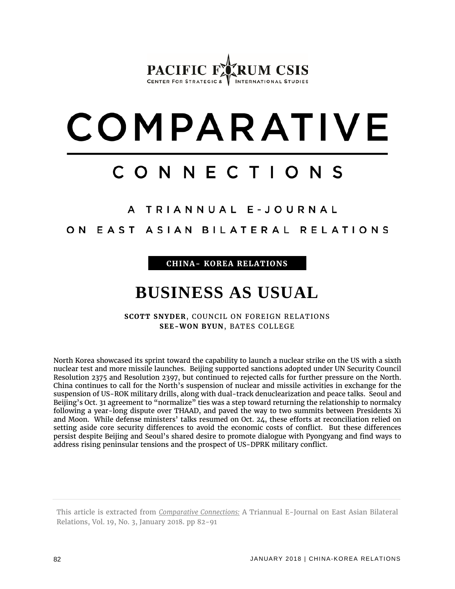## PACIFIC F CENTER FOR STRATEGIC &  $V$  INTERNATIONAL STUDIES

# COMPARATIVE

# CONNECTIONS

## A TRIANNUAL E-JOURNAL

ON EAST ASIAN BILATERAL RELATIONS

**CHINA- KOREA RELATIONS**

## **BUSINESS AS USUAL**

**SCOTT SNYDER**, COUNCIL ON FOREIGN RELATIONS **SEE-WON BYUN**, BATES COLLEGE

North Korea showcased its sprint toward the capability to launch a nuclear strike on the US with a sixth nuclear test and more missile launches. Beijing supported sanctions adopted under UN Security Council Resolution 2375 and Resolution 2397, but continued to rejected calls for further pressure on the North. China continues to call for the North's suspension of nuclear and missile activities in exchange for the suspension of US-ROK military drills, along with dual-track denuclearization and peace talks. Seoul and Beijing's Oct. 31 agreement to "normalize" ties was a step toward returning the relationship to normalcy following a year-long dispute over THAAD, and paved the way to two summits between Presidents Xi and Moon. While defense ministers' talks resumed on Oct. 24, these efforts at reconciliation relied on setting aside core security differences to avoid the economic costs of conflict. But these differences persist despite Beijing and Seoul's shared desire to promote dialogue with Pyongyang and find ways to address rising peninsular tensions and the prospect of US-DPRK military conflict.

This article is extracted from *Comparative Connections:* A Triannual E-Journal on East Asian Bilateral Relations, Vol. 19, No. 3, January 2018. pp 82-91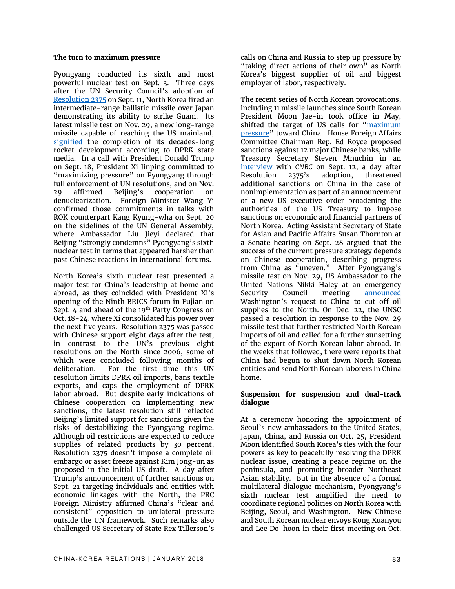#### **The turn to maximum pressure**

Pyongyang conducted its sixth and most powerful nuclear test on Sept. 3. Three days after the UN Security Council's adoption of [Resolution 2375](http://unscr.com/en/resolutions/doc/2375) on Sept. 11, North Korea fired an intermediate-range ballistic missile over Japan demonstrating its ability to strike Guam. Its latest missile test on Nov. 29, a new long-range missile capable of reaching the US mainland, [signified](https://www.nytimes.com/2017/11/28/world/asia/north-korea-missile-test.html) the completion of its decades-long rocket development according to DPRK state media. In a call with President Donald Trump on Sept. 18, President Xi Jinping committed to "maximizing pressure" on Pyongyang through full enforcement of UN resolutions, and on Nov. 29 affirmed Beijing's cooperation on denuclearization. Foreign Minister Wang Yi confirmed those commitments in talks with ROK counterpart Kang Kyung-wha on Sept. 20 on the sidelines of the UN General Assembly, where Ambassador Liu Jieyi declared that Beijing "strongly condemns" Pyongyang's sixth nuclear test in terms that appeared harsher than past Chinese reactions in international forums.

North Korea's sixth nuclear test presented a major test for China's leadership at home and abroad, as they coincided with President Xi's opening of the Ninth BRICS forum in Fujian on Sept. 4 and ahead of the 19<sup>th</sup> Party Congress on Oct. 18-24, where Xi consolidated his power over the next five years. Resolution 2375 was passed with Chinese support eight days after the test, in contrast to the UN's previous eight resolutions on the North since 2006, some of which were concluded following months of deliberation. For the first time this UN resolution limits DPRK oil imports, bans textile exports, and caps the employment of DPRK labor abroad. But despite early indications of Chinese cooperation on implementing new sanctions, the latest resolution still reflected Beijing's limited support for sanctions given the risks of destabilizing the Pyongyang regime. Although oil restrictions are expected to reduce supplies of related products by 30 percent, Resolution 2375 doesn't impose a complete oil embargo or asset freeze against Kim Jong-un as proposed in the initial US draft. A day after Trump's announcement of further sanctions on Sept. 21 targeting individuals and entities with economic linkages with the North, the PRC Foreign Ministry affirmed China's "clear and consistent" opposition to unilateral pressure outside the UN framework. Such remarks also challenged US Secretary of State Rex Tillerson's

calls on China and Russia to step up pressure by "taking direct actions of their own" as North Korea's biggest supplier of oil and biggest employer of labor, respectively.

The recent series of North Korean provocations, including 11 missile launches since South Korean President Moon Jae-in took office in May, shifted the target of US calls for "maximum [pressure"](https://www.washingtonpost.com/opinions/global-opinions/time-for-maximum-pressure-on-north-korea-even-without-chinas-permission/2017/09/10/6a9b3e1c-94ae-11e7-aace-04b862b2b3f3_story.html) toward China. House Foreign Affairs Committee Chairman Rep. Ed Royce proposed sanctions against 12 major Chinese banks, while Treasury Secretary Steven Mnuchin in an [interview](https://www.cnbc.com/2017/09/12/cnbc-exclusive-cnbcs-squawk-box-interviews-treasury-secretary-steven-mnuchin-from-cnbc-institutional-investor-delivering-alpha-conference-today.html) with *CNBC* on Sept. 12, a day after Resolution 2375's adoption, threatened additional sanctions on China in the case of nonimplementation as part of an announcement of a new US executive order broadening the authorities of the US Treasury to impose sanctions on economic and financial partners of North Korea. Acting Assistant Secretary of State for Asian and Pacific Affairs Susan Thornton at a Senate hearing on Sept. 28 argued that the success of the current pressure strategy depends on Chinese cooperation, describing progress from China as "uneven." After Pyongyang's missile test on Nov. 29, US Ambassador to the United Nations Nikki Haley at an emergency Security Council meeting [announced](https://www.reuters.com/article/us-northkorea-missiles-usa/u-s-asks-china-to-cut-off-oil-supply-to-north-korea-idUSKBN1DT3GH) Washington's request to China to cut off oil supplies to the North. On Dec. 22, the UNSC passed a resolution in response to the Nov. 29 missile test that further restricted North Korean imports of oil and called for a further sunsetting of the export of North Korean labor abroad. In the weeks that followed, there were reports that China had begun to shut down North Korean entities and send North Korean laborers in China home.

#### **Suspension for suspension and dual-track dialogue**

At a ceremony honoring the appointment of Seoul's new ambassadors to the United States, Japan, China, and Russia on Oct. 25, President Moon identified South Korea's ties with the four powers as key to peacefully resolving the DPRK nuclear issue, creating a peace regime on the peninsula, and promoting broader Northeast Asian stability. But in the absence of a formal multilateral dialogue mechanism, Pyongyang's sixth nuclear test amplified the need to coordinate regional policies on North Korea with Beijing, Seoul, and Washington. New Chinese and South Korean nuclear envoys Kong Xuanyou and Lee Do-hoon in their first meeting on Oct.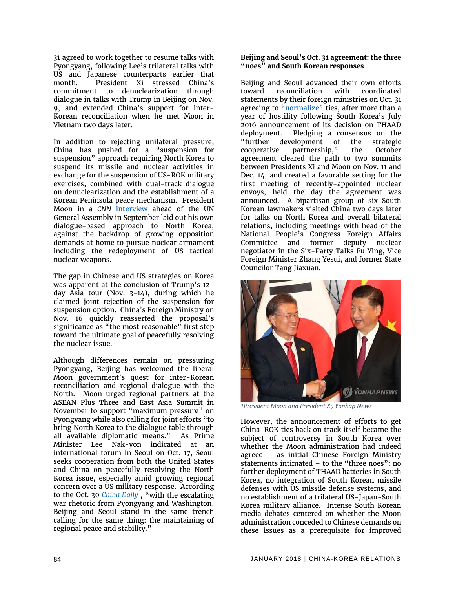31 agreed to work together to resume talks with Pyongyang, following Lee's trilateral talks with US and Japanese counterparts earlier that month. President Xi stressed China's commitment to denuclearization through dialogue in talks with Trump in Beijing on Nov. 9, and extended China's support for inter-Korean reconciliation when he met Moon in Vietnam two days later.

In addition to rejecting unilateral pressure, China has pushed for a "suspension for suspension" approach requiring North Korea to suspend its missile and nuclear activities in exchange for the suspension of US-ROK military exercises, combined with dual-track dialogue on denuclearization and the establishment of a Korean Peninsula peace mechanism. President Moon in a *CNN* [interview](http://www.cnn.com/videos/tv/2017/09/28/talk-asia-moon-jae-in-a.cnn) ahead of the UN General Assembly in September laid out his own dialogue-based approach to North Korea, against the backdrop of growing opposition demands at home to pursue nuclear armament including the redeployment of US tactical nuclear weapons.

The gap in Chinese and US strategies on Korea was apparent at the conclusion of Trump's 12 day Asia tour (Nov. 3-14), during which he claimed joint rejection of the suspension for suspension option. China's Foreign Ministry on Nov. 16 quickly reasserted the proposal's significance as "the most reasonable" first step toward the ultimate goal of peacefully resolving the nuclear issue.

Although differences remain on pressuring Pyongyang, Beijing has welcomed the liberal Moon government's quest for inter-Korean reconciliation and regional dialogue with the North. Moon urged regional partners at the ASEAN Plus Three and East Asia Summit in November to support "maximum pressure" on Pyongyang while also calling for joint efforts "to bring North Korea to the dialogue table through all available diplomatic means." As Prime Minister Lee Nak-yon indicated at an international forum in Seoul on Oct. 17, Seoul seeks cooperation from both the United States and China on peacefully resolving the North Korea issue, especially amid growing regional concern over a US military response. According to the Oct. 30 *[China Daily](http://www.chinadaily.com.cn/2017-10/30/content_33906515.htm)* , "with the escalating war rhetoric from Pyongyang and Washington, Beijing and Seoul stand in the same trench calling for the same thing: the maintaining of regional peace and stability."

#### **Beijing and Seoul's Oct. 31 agreement: the three "noes" and South Korean responses**

Beijing and Seoul advanced their own efforts<br>toward reconciliation with coordinated toward reconciliation with statements by their foreign ministries on Oct. 31 agreeing to ["normalize"](http://english.yonhapnews.co.kr/search1/2603000000.html?cid=AEN20171031004253315) ties, after more than a year of hostility following South Korea's July 2016 announcement of its decision on THAAD deployment. Pledging a consensus on the "further development of the strategic cooperative partnership," the October agreement cleared the path to two summits between Presidents Xi and Moon on Nov. 11 and Dec. 14, and created a favorable setting for the first meeting of recently-appointed nuclear envoys, held the day the agreement was announced. A bipartisan group of six South Korean lawmakers visited China two days later for talks on North Korea and overall bilateral relations, including meetings with head of the National People's Congress Foreign Affairs Committee and former deputy nuclear negotiator in the Six-Party Talks Fu Ying, Vice Foreign Minister Zhang Yesui, and former State Councilor Tang Jiaxuan.



*1President Moon and President Xi, Yonhap News*

However, the announcement of efforts to get China-ROK ties back on track itself became the subject of controversy in South Korea over whether the Moon administration had indeed agreed – as initial Chinese Foreign Ministry statements intimated – to the "three noes": no further deployment of THAAD batteries in South Korea, no integration of South Korean missile defenses with US missile defense systems, and no establishment of a trilateral US-Japan-South Korea military alliance. Intense South Korean media debates centered on whether the Moon administration conceded to Chinese demands on these issues as a prerequisite for improved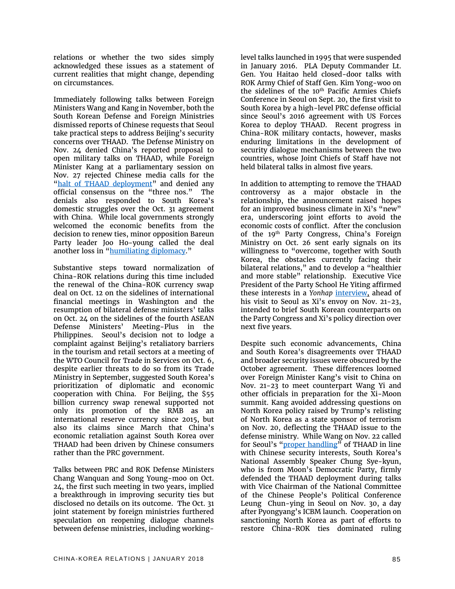relations or whether the two sides simply acknowledged these issues as a statement of current realities that might change, depending on circumstances.

Immediately following talks between Foreign Ministers Wang and Kang in November, both the South Korean Defense and Foreign Ministries dismissed reports of Chinese requests that Seoul take practical steps to address Beijing's security concerns over THAAD. The Defense Ministry on Nov. 24 denied China's reported proposal to open military talks on THAAD, while Foreign Minister Kang at a parliamentary session on Nov. 27 rejected Chinese media calls for the ["halt of THAAD deployment"](http://www.xinhuanet.com/english/special/Thaad/) and denied any official consensus on the "three nos." The denials also responded to South Korea's domestic struggles over the Oct. 31 agreement with China. While local governments strongly welcomed the economic benefits from the decision to renew ties, minor opposition Bareun Party leader Joo Ho-young called the deal another loss in ["humiliating diplomacy.](http://english.yonhapnews.co.kr/search1/2603000000.html?cid=AEN20171101005500315)"

Substantive steps toward normalization of China-ROK relations during this time included the renewal of the China-ROK currency swap deal on Oct. 12 on the sidelines of international financial meetings in Washington and the resumption of bilateral defense ministers' talks on Oct. 24 on the sidelines of the fourth ASEAN Defense Ministers' Meeting-Plus in the Philippines. Seoul's decision not to lodge a complaint against Beijing's retaliatory barriers in the tourism and retail sectors at a meeting of the WTO Council for Trade in Services on Oct. 6, despite earlier threats to do so from its Trade Ministry in September, suggested South Korea's prioritization of diplomatic and economic cooperation with China. For Beijing, the \$55 billion currency swap renewal supported not only its promotion of the RMB as an international reserve currency since 2015, but also its claims since March that China's economic retaliation against South Korea over THAAD had been driven by Chinese consumers rather than the PRC government.

Talks between PRC and ROK Defense Ministers Chang Wanquan and Song Young-moo on Oct. 24, the first such meeting in two years, implied a breakthrough in improving security ties but disclosed no details on its outcome. The Oct. 31 joint statement by foreign ministries furthered speculation on reopening dialogue channels between defense ministries, including working-

level talks launched in 1995 that were suspended in January 2016. PLA Deputy Commander Lt. Gen. You Haitao held closed-door talks with ROK Army Chief of Staff Gen. Kim Yong-woo on the sidelines of the 10<sup>th</sup> Pacific Armies Chiefs Conference in Seoul on Sept. 20, the first visit to South Korea by a high-level PRC defense official since Seoul's 2016 agreement with US Forces Korea to deploy THAAD. Recent progress in China-ROK military contacts, however, masks enduring limitations in the development of security dialogue mechanisms between the two countries, whose Joint Chiefs of Staff have not held bilateral talks in almost five years.

In addition to attempting to remove the THAAD controversy as a major obstacle in the relationship, the announcement raised hopes for an improved business climate in Xi's "new" era, underscoring joint efforts to avoid the economic costs of conflict. After the conclusion of the 19<sup>th</sup> Party Congress, China's Foreign Ministry on Oct. 26 sent early signals on its willingness to "overcome, together with South Korea, the obstacles currently facing their bilateral relations," and to develop a "healthier and more stable" relationship. Executive Vice President of the Party School He Yiting affirmed these interests in a *Yonhap* [interview,](http://english.yonhapnews.co.kr/search1/2603000000.html?cid=AEN20171123005900315) ahead of his visit to Seoul as Xi's envoy on Nov. 21-23, intended to brief South Korean counterparts on the Party Congress and Xi's policy direction over next five years.

Despite such economic advancements, China and South Korea's disagreements over THAAD and broader security issues were obscured by the October agreement. These differences loomed over Foreign Minister Kang's visit to China on Nov. 21-23 to meet counterpart Wang Yi and other officials in preparation for the Xi-Moon summit. Kang avoided addressing questions on North Korea policy raised by Trump's relisting of North Korea as a state sponsor of terrorism on Nov. 20, deflecting the THAAD issue to the defense ministry. While Wang on Nov. 22 called for Seoul's ["proper handling"](http://news.xinhuanet.com/english/2017-11/22/c_136772009.htm) of THAAD in line with Chinese security interests, South Korea's National Assembly Speaker Chung Sye-kyun, who is from Moon's Democratic Party, firmly defended the THAAD deployment during talks with Vice Chairman of the National Committee of the Chinese People's Political Conference Leung Chun-ying in Seoul on Nov. 30, a day after Pyongyang's ICBM launch. Cooperation on sanctioning North Korea as part of efforts to restore China-ROK ties dominated ruling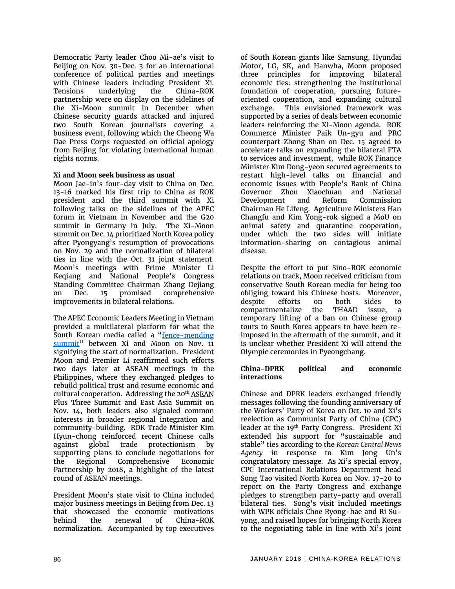Democratic Party leader Choo Mi-ae's visit to Beijing on Nov. 30-Dec. 3 for an international conference of political parties and meetings with Chinese leaders including President Xi. Tensions underlying the China-ROK partnership were on display on the sidelines of the Xi-Moon summit in December when Chinese security guards attacked and injured two South Korean journalists covering a business event, following which the Cheong Wa Dae Press Corps requested on official apology from Beijing for violating international human rights norms.

#### **Xi and Moon seek business as usual**

Moon Jae-in's four-day visit to China on Dec. 13-16 marked his first trip to China as ROK president and the third summit with Xi following talks on the sidelines of the APEC forum in Vietnam in November and the G20 summit in Germany in July. The Xi-Moon summit on Dec. 14 prioritized North Korea policy after Pyongyang's resumption of provocations on Nov. 29 and the normalization of bilateral ties in line with the Oct. 31 joint statement. Moon's meetings with Prime Minister Li Keqiang and National People's Congress Standing Committee Chairman Zhang Dejiang on Dec. 15 promised comprehensive improvements in bilateral relations.

The APEC Economic Leaders Meeting in Vietnam provided a multilateral platform for what the South Korean media called a "fence-mending [summit"](http://english.yonhapnews.co.kr/search1/2603000000.html?cid=AEN20171111004151315) between Xi and Moon on Nov. 11 signifying the start of normalization. President Moon and Premier Li reaffirmed such efforts two days later at ASEAN meetings in the Philippines, where they exchanged pledges to rebuild political trust and resume economic and cultural cooperation. Addressing the 20<sup>th</sup> ASEAN Plus Three Summit and East Asia Summit on Nov. 14, both leaders also signaled common interests in broader regional integration and community-building. ROK Trade Minister Kim Hyun-chong reinforced recent Chinese calls against global trade protectionism by supporting plans to conclude negotiations for the Regional Comprehensive Economic Partnership by 2018, a highlight of the latest round of ASEAN meetings.

President Moon's state visit to China included major business meetings in Beijing from Dec. 13 that showcased the economic motivations behind the renewal of China-ROK normalization. Accompanied by top executives of South Korean giants like Samsung, Hyundai Motor, LG, SK, and Hanwha, Moon proposed three principles for improving bilateral economic ties: strengthening the institutional foundation of cooperation, pursuing futureoriented cooperation, and expanding cultural exchange. This envisioned framework was supported by a series of deals between economic leaders reinforcing the Xi-Moon agenda. ROK Commerce Minister Paik Un-gyu and PRC counterpart Zhong Shan on Dec. 15 agreed to accelerate talks on expanding the bilateral FTA to services and investment, while ROK Finance Minister Kim Dong-yeon secured agreements to restart high-level talks on financial and economic issues with People's Bank of China Governor Zhou Xiaochuan and National Development and Reform Commission Chairman He Lifeng. Agriculture Ministers Han Changfu and Kim Yong-rok signed a MoU on animal safety and quarantine cooperation, under which the two sides will initiate information-sharing on contagious animal disease.

Despite the effort to put Sino-ROK economic relations on track, Moon received criticism from conservative South Korean media for being too obliging toward his Chinese hosts. Moreover, despite efforts on both sides to compartmentalize the THAAD issue, a temporary lifting of a ban on Chinese group tours to South Korea appears to have been reimposed in the aftermath of the summit, and it is unclear whether President Xi will attend the Olympic ceremonies in Pyeongchang.

#### **China-DPRK political and economic interactions**

Chinese and DPRK leaders exchanged friendly messages following the founding anniversary of the Workers' Party of Korea on Oct. 10 and Xi's reelection as Communist Party of China (CPC) leader at the 19<sup>th</sup> Party Congress. President Xi extended his support for "sustainable and stable" ties according to the *Korean Central News Agency* in response to Kim Jong Un's congratulatory message. As Xi's special envoy, CPC International Relations Department head Song Tao visited North Korea on Nov. 17-20 to report on the Party Congress and exchange pledges to strengthen party-party and overall bilateral ties. Song's visit included meetings with WPK officials Choe Ryong-hae and Ri Suyong, and raised hopes for bringing North Korea to the negotiating table in line with Xi's joint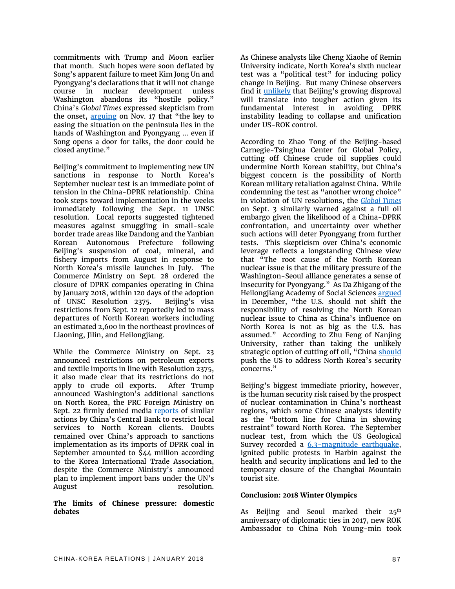commitments with Trump and Moon earlier that month. Such hopes were soon deflated by Song's apparent failure to meet Kim Jong Un and Pyongyang's declarations that it will not change course in nuclear development unless Washington abandons its "hostile policy." China's *Global Times* expressed skepticism from the onset, [arguing](http://www.globaltimes.cn/content/1075824.shtml) on Nov. 17 that "the key to easing the situation on the peninsula lies in the hands of Washington and Pyongyang … even if Song opens a door for talks, the door could be closed anytime."

Beijing's commitment to implementing new UN sanctions in response to North Korea's September nuclear test is an immediate point of tension in the China-DPRK relationship. China took steps toward implementation in the weeks immediately following the Sept. 11 UNSC resolution. Local reports suggested tightened measures against smuggling in small-scale border trade areas like Dandong and the Yanbian Korean Autonomous Prefecture following Beijing's suspension of coal, mineral, and fishery imports from August in response to North Korea's missile launches in July. The Commerce Ministry on Sept. 28 ordered the closure of DPRK companies operating in China by January 2018, within 120 days of the adoption of UNSC Resolution 2375. Beijing's visa restrictions from Sept. 12 reportedly led to mass departures of North Korean workers including an estimated 2,600 in the northeast provinces of Liaoning, Jilin, and Heilongjiang.

While the Commerce Ministry on Sept. 23 announced restrictions on petroleum exports and textile imports in line with Resolution 2375, it also made clear that its restrictions do not apply to crude oil exports. After Trump announced Washington's additional sanctions on North Korea, the PRC Foreign Ministry on Sept. 22 firmly denied media [reports](https://www.reuters.com/article/us-northkorea-missiles-banks-china/chinas-central-bank-tells-banks-to-stop-doing-business-with-north-korea-sources-idUSKCN1BW1DL) of similar actions by China's Central Bank to restrict local services to North Korean clients. Doubts remained over China's approach to sanctions implementation as its imports of DPRK coal in September amounted to \$44 million according to the Korea International Trade Association, despite the Commerce Ministry's announced plan to implement import bans under the UN's August resolution.

#### **The limits of Chinese pressure: domestic debates**

As Chinese analysts like Cheng Xiaohe of Remin University indicate, North Korea's sixth nuclear test was a "political test" for inducing policy change in Beijing. But many Chinese observers find it [unlikely](https://www.nytimes.com/2017/09/03/world/asia/north-korea-nuclear-test-china-xi-jinping.html?mcubz=0) that Beijing's growing disproval will translate into tougher action given its fundamental interest in avoiding DPRK instability leading to collapse and unification under US-ROK control.

According to Zhao Tong of the Beijing-based Carnegie-Tsinghua Center for Global Policy, cutting off Chinese crude oil supplies could undermine North Korean stability, but China's biggest concern is the possibility of North Korean military retaliation against China. While condemning the test as "another wrong choice" in violation of UN resolutions, the *[Global Times](http://www.globaltimes.cn/content/1064487.shtml)* on Sept. 3 similarly warned against a full oil embargo given the likelihood of a China-DPRK confrontation, and uncertainty over whether such actions will deter Pyongyang from further tests. This skepticism over China's economic leverage reflects a longstanding Chinese view that "The root cause of the North Korean nuclear issue is that the military pressure of the Washington-Seoul alliance generates a sense of insecurity for Pyongyang." As Da Zhigang of the Heilongjiang Academy of Social Sciences [argued](http://www.globaltimes.cn/content/1078136.shtml) in December, "the U.S. should not shift the responsibility of resolving the North Korean nuclear issue to China as China's influence on North Korea is not as big as the U.S. has assumed." According to Zhu Feng of Nanjing University, rather than taking the unlikely strategic option of cutting off oil, "Chin[a should](http://www.globaltimes.cn/content/1064766.shtml) push the US to address North Korea's security concerns."

Beijing's biggest immediate priority, however, is the human security risk raised by the prospect of nuclear contamination in China's northeast regions, which some Chinese analysts identify as the "bottom line for China in showing restraint" toward North Korea. The September nuclear test, from which the US Geological Survey recorded a [6.3-magnitude earthquake,](https://www.npr.org/sections/thetwo-way/2017/09/03/548262043/here-are-the-facts-about-north-koreas-nuclear-test) ignited public protests in Harbin against the health and security implications and led to the temporary closure of the Changbai Mountain tourist site.

#### **Conclusion: 2018 Winter Olympics**

As Beijing and Seoul marked their 25<sup>th</sup> anniversary of diplomatic ties in 2017, new ROK Ambassador to China Noh Young-min took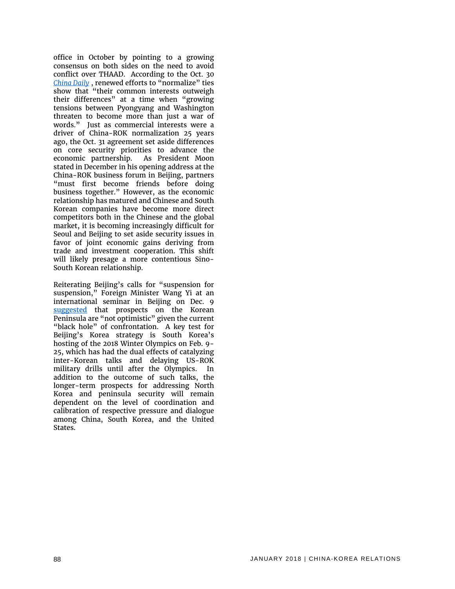office in October by pointing to a growing consensus on both sides on the need to avoid conflict over THAAD. According to the Oct. 30 *[China Daily](http://www.chinadaily.com.cn/2017-10/30/content_33906515.htm)* , renewed efforts to "normalize" ties show that "their common interests outweigh their differences" at a time when "growing tensions between Pyongyang and Washington threaten to become more than just a war of words." Just as commercial interests were a driver of China-ROK normalization 25 years ago, the Oct. 31 agreement set aside differences on core security priorities to advance the economic partnership. As President Moon stated in December in his opening address at the China-ROK business forum in Beijing, partners "must first become friends before doing business together." However, as the economic relationship has matured and Chinese and South Korean companies have become more direct competitors both in the Chinese and the global market, it is becoming increasingly difficult for Seoul and Beijing to set aside security issues in favor of joint economic gains deriving from trade and investment cooperation. This shift will likely presage a more contentious Sino-South Korean relationship.

Reiterating Beijing's calls for "suspension for suspension," Foreign Minister Wang Yi at an international seminar in Beijing on Dec. 9 [suggested](http://news.xinhuanet.com/english/2017-12/09/c_136813629.htm) that prospects on the Korean Peninsula are "not optimistic" given the current "black hole" of confrontation. A key test for Beijing's Korea strategy is South Korea's hosting of the 2018 Winter Olympics on Feb. 9- 25, which has had the dual effects of catalyzing inter-Korean talks and delaying US-ROK military drills until after the Olympics. In addition to the outcome of such talks, the longer-term prospects for addressing North Korea and peninsula security will remain dependent on the level of coordination and calibration of respective pressure and dialogue among China, South Korea, and the United States.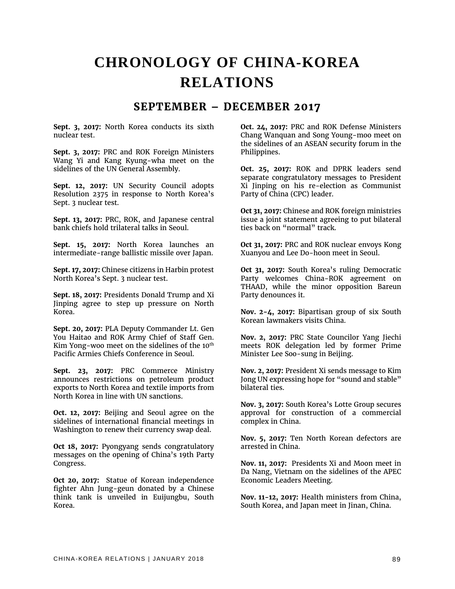## **CHRONOLOGY OF CHINA-KOREA RELATIONS**

### **SEPTEMBER – DECEMBER 2017**

**Sept. 3, 2017:** North Korea conducts its sixth nuclear test.

**Sept. 3, 2017:** PRC and ROK Foreign Ministers Wang Yi and Kang Kyung-wha meet on the sidelines of the UN General Assembly.

**Sept. 12, 2017:** UN Security Council adopts Resolution 2375 in response to North Korea's Sept. 3 nuclear test.

**Sept. 13, 2017:** PRC, ROK, and Japanese central bank chiefs hold trilateral talks in Seoul.

**Sept. 15, 2017:** North Korea launches an intermediate-range ballistic missile over Japan.

**Sept. 17, 2017:** Chinese citizens in Harbin protest North Korea's Sept. 3 nuclear test.

**Sept. 18, 2017:** Presidents Donald Trump and Xi Jinping agree to step up pressure on North Korea.

**Sept. 20, 2017:** PLA Deputy Commander Lt. Gen You Haitao and ROK Army Chief of Staff Gen. Kim Yong-woo meet on the sidelines of the 10<sup>th</sup> Pacific Armies Chiefs Conference in Seoul.

**Sept. 23, 2017:** PRC Commerce Ministry announces restrictions on petroleum product exports to North Korea and textile imports from North Korea in line with UN sanctions.

**Oct. 12, 2017:** Beijing and Seoul agree on the sidelines of international financial meetings in Washington to renew their currency swap deal.

**Oct 18, 2017:** Pyongyang sends congratulatory messages on the opening of China's 19th Party Congress.

**Oct 20, 2017:** Statue of Korean independence fighter Ahn Jung-geun donated by a Chinese think tank is unveiled in Euijungbu, South Korea.

**Oct. 24, 2017:** PRC and ROK Defense Ministers Chang Wanquan and Song Young-moo meet on the sidelines of an ASEAN security forum in the Philippines.

**Oct. 25, 2017:** ROK and DPRK leaders send separate congratulatory messages to President Xi Jinping on his re-election as Communist Party of China (CPC) leader.

**Oct 31, 2017:** Chinese and ROK foreign ministries issue a joint statement agreeing to put bilateral ties back on "normal" track.

**Oct 31, 2017:** PRC and ROK nuclear envoys Kong Xuanyou and Lee Do-hoon meet in Seoul.

**Oct 31, 2017:** South Korea's ruling Democratic Party welcomes China-ROK agreement on THAAD, while the minor opposition Bareun Party denounces it.

**Nov. 2-4, 2017:** Bipartisan group of six South Korean lawmakers visits China.

**Nov. 2, 2017:** PRC State Councilor Yang Jiechi meets ROK delegation led by former Prime Minister Lee Soo-sung in Beijing.

**Nov. 2, 2017:** President Xi sends message to Kim Jong UN expressing hope for "sound and stable" bilateral ties.

**Nov. 3, 2017:** South Korea's Lotte Group secures approval for construction of a commercial complex in China.

**Nov. 5, 2017:** Ten North Korean defectors are arrested in China.

**Nov. 11, 2017:** Presidents Xi and Moon meet in Da Nang, Vietnam on the sidelines of the APEC Economic Leaders Meeting.

**Nov. 11-12, 2017:** Health ministers from China, South Korea, and Japan meet in Jinan, China.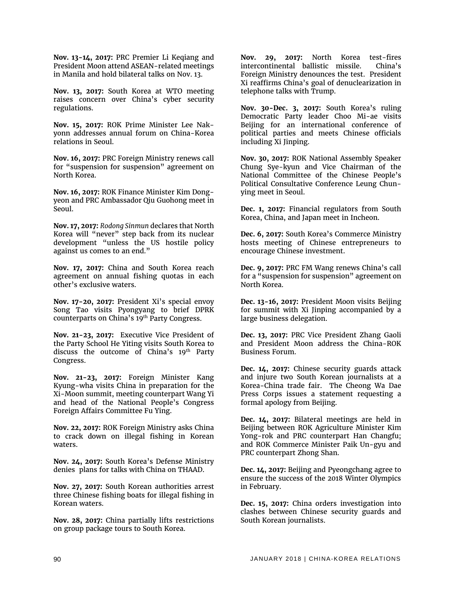**Nov. 13-14, 2017:** PRC Premier Li Keqiang and President Moon attend ASEAN-related meetings in Manila and hold bilateral talks on Nov. 13.

**Nov. 13, 2017:** South Korea at WTO meeting raises concern over China's cyber security regulations.

**Nov. 15, 2017:** ROK Prime Minister Lee Nakyonn addresses annual forum on China-Korea relations in Seoul.

**Nov. 16, 2017:** PRC Foreign Ministry renews call for "suspension for suspension" agreement on North Korea.

**Nov. 16, 2017:** ROK Finance Minister Kim Dongyeon and PRC Ambassador Qiu Guohong meet in Seoul.

**Nov. 17, 2017:** *Rodong Sinmun* declares that North Korea will "never" step back from its nuclear development "unless the US hostile policy against us comes to an end."

**Nov. 17, 2017:** China and South Korea reach agreement on annual fishing quotas in each other's exclusive waters.

**Nov. 17-20, 2017:** President Xi's special envoy Song Tao visits Pyongyang to brief DPRK counterparts on China's 19<sup>th</sup> Party Congress.

**Nov. 21-23, 2017:** Executive Vice President of the Party School He Yiting visits South Korea to discuss the outcome of China's 19<sup>th</sup> Party Congress.

**Nov. 21-23, 2017:** Foreign Minister Kang Kyung-wha visits China in preparation for the Xi-Moon summit, meeting counterpart Wang Yi and head of the National People's Congress Foreign Affairs Committee Fu Ying.

**Nov. 22, 2017:** ROK Foreign Ministry asks China to crack down on illegal fishing in Korean waters.

**Nov. 24, 2017:** South Korea's Defense Ministry denies plans for talks with China on THAAD.

**Nov. 27, 2017:** South Korean authorities arrest three Chinese fishing boats for illegal fishing in Korean waters.

**Nov. 28, 2017:** China partially lifts restrictions on group package tours to South Korea.

**Nov. 29, 2017:** North Korea test-fires intercontinental ballistic missile. China's Foreign Ministry denounces the test. President Xi reaffirms China's goal of denuclearization in telephone talks with Trump.

**Nov. 30-Dec. 3, 2017:** South Korea's ruling Democratic Party leader Choo Mi-ae visits Beijing for an international conference of political parties and meets Chinese officials including Xi Jinping.

**Nov. 30, 2017:** ROK National Assembly Speaker Chung Sye-kyun and Vice Chairman of the National Committee of the Chinese People's Political Consultative Conference Leung Chunying meet in Seoul.

**Dec. 1, 2017:** Financial regulators from South Korea, China, and Japan meet in Incheon.

**Dec. 6, 2017:** South Korea's Commerce Ministry hosts meeting of Chinese entrepreneurs to encourage Chinese investment.

**Dec. 9, 2017:** PRC FM Wang renews China's call for a "suspension for suspension" agreement on North Korea.

**Dec. 13-16, 2017:** President Moon visits Beijing for summit with Xi Jinping accompanied by a large business delegation.

**Dec. 13, 2017:** PRC Vice President Zhang Gaoli and President Moon address the China-ROK Business Forum.

**Dec. 14, 2017:** Chinese security guards attack and injure two South Korean journalists at a Korea-China trade fair. The Cheong Wa Dae Press Corps issues a statement requesting a formal apology from Beijing.

**Dec. 14, 2017:** Bilateral meetings are held in Beijing between ROK Agriculture Minister Kim Yong-rok and PRC counterpart Han Changfu; and ROK Commerce Minister Paik Un-gyu and PRC counterpart Zhong Shan.

**Dec. 14, 2017:** Beijing and Pyeongchang agree to ensure the success of the 2018 Winter Olympics in February.

**Dec. 15, 2017:** China orders investigation into clashes between Chinese security guards and South Korean journalists.